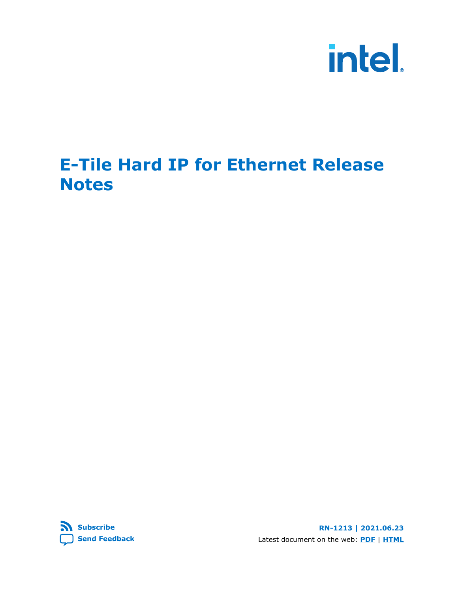

## **E-Tile Hard IP for Ethernet Release Notes**

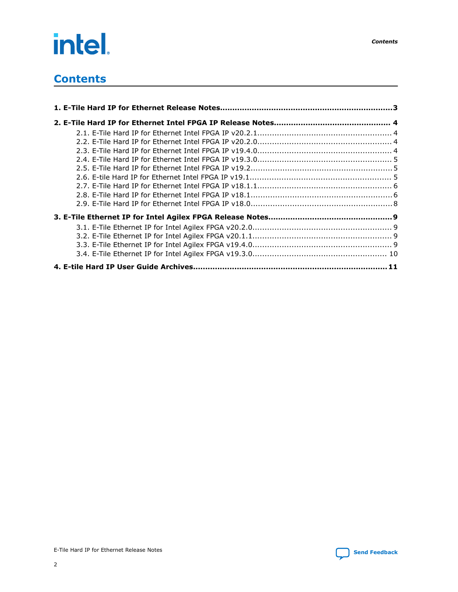# intel.

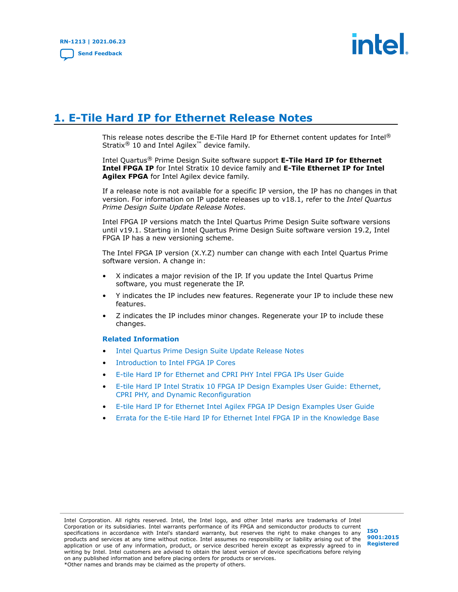

## <span id="page-2-0"></span>**1. E-Tile Hard IP for Ethernet Release Notes**

This release notes describe the E-Tile Hard IP for Ethernet content updates for Intel® Stratix<sup>®</sup> 10 and Intel Agilex<sup>™</sup> device family.

Intel Quartus® Prime Design Suite software support **E-Tile Hard IP for Ethernet Intel FPGA IP** for Intel Stratix 10 device family and **E-Tile Ethernet IP for Intel Agilex FPGA** for Intel Agilex device family.

If a release note is not available for a specific IP version, the IP has no changes in that version. For information on IP update releases up to v18.1, refer to the *Intel Quartus Prime Design Suite Update Release Notes*.

Intel FPGA IP versions match the Intel Quartus Prime Design Suite software versions until v19.1. Starting in Intel Quartus Prime Design Suite software version 19.2, Intel FPGA IP has a new versioning scheme.

The Intel FPGA IP version (X.Y.Z) number can change with each Intel Quartus Prime software version. A change in:

- X indicates a major revision of the IP. If you update the Intel Quartus Prime software, you must regenerate the IP.
- Y indicates the IP includes new features. Regenerate your IP to include these new features.
- Z indicates the IP includes minor changes. Regenerate your IP to include these changes.

#### **Related Information**

- [Intel Quartus Prime Design Suite Update Release Notes](https://www.intel.com/content/www/us/en/programmable/documentation/hco1406563361926.html#)
- [Introduction to Intel FPGA IP Cores](https://www.intel.com/content/www/us/en/programmable/documentation/mwh1409960636914.html#mwh1409958250601)
- [E-tile Hard IP for Ethernet and CPRI PHY Intel FPGA IPs User Guide](https://www.intel.com/content/www/us/en/programmable/documentation/oqk1518683296847.html)
- [E-tile Hard IP Intel Stratix 10 FPGA IP Design Examples User Guide: Ethernet,](https://www.intel.com/content/www/us/en/programmable/documentation/rrv1522892977766.html) [CPRI PHY, and Dynamic Reconfiguration](https://www.intel.com/content/www/us/en/programmable/documentation/rrv1522892977766.html)
- [E-tile Hard IP for Ethernet Intel Agilex FPGA IP Design Examples User Guide](https://www.intel.com/content/www/us/en/programmable/documentation/vxj1550214151433.html)
- [Errata for the E-tile Hard IP for Ethernet Intel FPGA IP in the Knowledge Base](https://www.intel.com/content/www/us/en/programmable/support/support-resources/knowledge-base/kdb-filter.html)

Intel Corporation. All rights reserved. Intel, the Intel logo, and other Intel marks are trademarks of Intel Corporation or its subsidiaries. Intel warrants performance of its FPGA and semiconductor products to current specifications in accordance with Intel's standard warranty, but reserves the right to make changes to any products and services at any time without notice. Intel assumes no responsibility or liability arising out of the application or use of any information, product, or service described herein except as expressly agreed to in writing by Intel. Intel customers are advised to obtain the latest version of device specifications before relying on any published information and before placing orders for products or services. \*Other names and brands may be claimed as the property of others.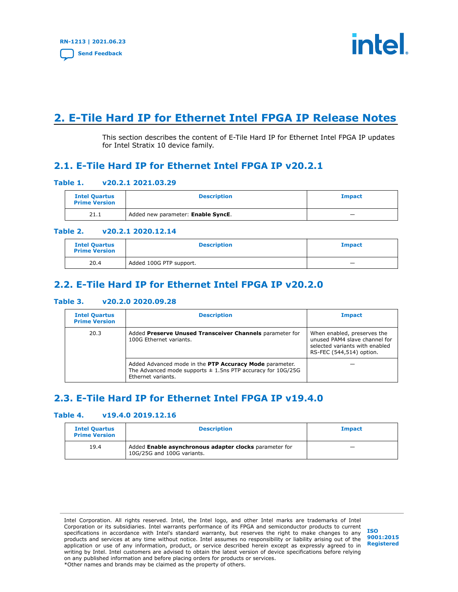

## <span id="page-3-0"></span>**2. E-Tile Hard IP for Ethernet Intel FPGA IP Release Notes**

This section describes the content of E-Tile Hard IP for Ethernet Intel FPGA IP updates for Intel Stratix 10 device family.

## **2.1. E-Tile Hard IP for Ethernet Intel FPGA IP v20.2.1**

#### **Table 1. v20.2.1 2021.03.29**

| <b>Intel Quartus</b><br><b>Prime Version</b> | <b>Description</b>                 | <b>Impact</b> |
|----------------------------------------------|------------------------------------|---------------|
| 21.1                                         | Added new parameter: Enable SyncE. | _             |

#### **Table 2. v20.2.1 2020.12.14**

| <b>Intel Quartus</b><br><b>Prime Version</b> | <b>Description</b>      | <b>Impact</b> |
|----------------------------------------------|-------------------------|---------------|
| 20.4                                         | Added 100G PTP support. | -             |

## **2.2. E-Tile Hard IP for Ethernet Intel FPGA IP v20.2.0**

#### **Table 3. v20.2.0 2020.09.28**

| <b>Intel Quartus</b><br><b>Prime Version</b>                                                | <b>Description</b>                                                                                                                               | <b>Impact</b>                                                                                                              |
|---------------------------------------------------------------------------------------------|--------------------------------------------------------------------------------------------------------------------------------------------------|----------------------------------------------------------------------------------------------------------------------------|
| 20.3<br>Added Preserve Unused Transceiver Channels parameter for<br>100G Ethernet variants. |                                                                                                                                                  | When enabled, preserves the<br>unused PAM4 slave channel for<br>selected variants with enabled<br>RS-FEC (544,514) option. |
|                                                                                             | Added Advanced mode in the PTP Accuracy Mode parameter.<br>The Advanced mode supports $\pm$ 1.5ns PTP accuracy for 10G/25G<br>Ethernet variants. |                                                                                                                            |

## **2.3. E-Tile Hard IP for Ethernet Intel FPGA IP v19.4.0**

### **Table 4. v19.4.0 2019.12.16**

| <b>Intel Quartus</b><br><b>Prime Version</b> | <b>Description</b>                                                                   | <b>Impact</b>            |
|----------------------------------------------|--------------------------------------------------------------------------------------|--------------------------|
| 19.4                                         | Added Enable asynchronous adapter clocks parameter for<br>10G/25G and 100G variants. | $\overline{\phantom{a}}$ |

Intel Corporation. All rights reserved. Intel, the Intel logo, and other Intel marks are trademarks of Intel Corporation or its subsidiaries. Intel warrants performance of its FPGA and semiconductor products to current specifications in accordance with Intel's standard warranty, but reserves the right to make changes to any products and services at any time without notice. Intel assumes no responsibility or liability arising out of the application or use of any information, product, or service described herein except as expressly agreed to in writing by Intel. Intel customers are advised to obtain the latest version of device specifications before relying on any published information and before placing orders for products or services. \*Other names and brands may be claimed as the property of others.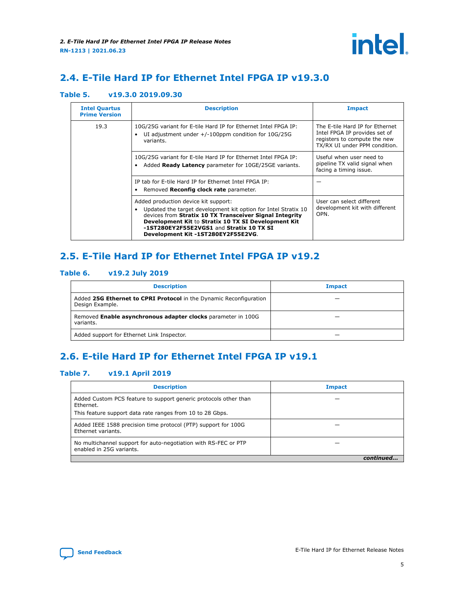## <span id="page-4-0"></span>**2.4. E-Tile Hard IP for Ethernet Intel FPGA IP v19.3.0**

## **Table 5. v19.3.0 2019.09.30**

| <b>Intel Quartus</b><br><b>Prime Version</b> | <b>Description</b>                                                                                                                                                                                                                                                                                         | <b>Impact</b>                                                                                                                     |
|----------------------------------------------|------------------------------------------------------------------------------------------------------------------------------------------------------------------------------------------------------------------------------------------------------------------------------------------------------------|-----------------------------------------------------------------------------------------------------------------------------------|
| 19.3                                         | 10G/25G variant for E-tile Hard IP for Ethernet Intel FPGA IP:<br>UI adjustment under $+/-100$ ppm condition for $10G/25G$<br>variants.                                                                                                                                                                    | The E-tile Hard IP for Ethernet<br>Intel FPGA IP provides set of<br>registers to compute the new<br>TX/RX UI under PPM condition. |
|                                              | 10G/25G variant for E-tile Hard IP for Ethernet Intel FPGA IP:<br>Added Ready Latency parameter for 10GE/25GE variants.                                                                                                                                                                                    | Useful when user need to<br>pipeline TX valid signal when<br>facing a timing issue.                                               |
|                                              | IP tab for E-tile Hard IP for Ethernet Intel FPGA IP:<br>Removed Reconfig clock rate parameter.                                                                                                                                                                                                            |                                                                                                                                   |
|                                              | Added production device kit support:<br>Updated the target development kit option for Intel Stratix 10<br>devices from Stratix 10 TX Transceiver Signal Integrity<br>Development Kit to Stratix 10 TX SI Development Kit<br>-1ST280EY2F55E2VGS1 and Stratix 10 TX SI<br>Development Kit -1ST280EY2F55E2VG. | User can select different<br>development kit with different<br>OPN.                                                               |

## **2.5. E-Tile Hard IP for Ethernet Intel FPGA IP v19.2**

### **Table 6. v19.2 July 2019**

| <b>Description</b>                                                                    | <b>Impact</b> |
|---------------------------------------------------------------------------------------|---------------|
| Added 25G Ethernet to CPRI Protocol in the Dynamic Reconfiguration<br>Design Example. |               |
| Removed Enable asynchronous adapter clocks parameter in 100G<br>variants.             |               |
| Added support for Ethernet Link Inspector.                                            |               |

## **2.6. E-tile Hard IP for Ethernet Intel FPGA IP v19.1**

#### **Table 7. v19.1 April 2019**

| <b>Description</b>                                                                          | <b>Impact</b> |
|---------------------------------------------------------------------------------------------|---------------|
| Added Custom PCS feature to support generic protocols other than<br>Ethernet.               |               |
| This feature support data rate ranges from 10 to 28 Gbps.                                   |               |
| Added IEEE 1588 precision time protocol (PTP) support for 100G<br>Ethernet variants.        |               |
| No multichannel support for auto-negotiation with RS-FEC or PTP<br>enabled in 25G variants. |               |
|                                                                                             |               |

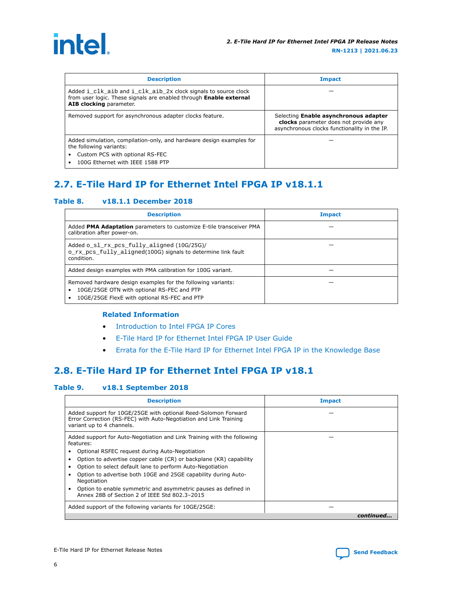<span id="page-5-0"></span>

| <b>Description</b>                                                                                                                                                                       | <b>Impact</b>                                                                                                                  |
|------------------------------------------------------------------------------------------------------------------------------------------------------------------------------------------|--------------------------------------------------------------------------------------------------------------------------------|
| Added i_clk_aib and i_clk_aib_2x clock signals to source clock<br>from user logic. These signals are enabled through Enable external<br>AIB clocking parameter.                          |                                                                                                                                |
| Removed support for asynchronous adapter clocks feature.                                                                                                                                 | Selecting Enable asynchronous adapter<br>clocks parameter does not provide any<br>asynchronous clocks functionality in the IP. |
| Added simulation, compilation-only, and hardware design examples for<br>the following variants:<br>Custom PCS with optional RS-FEC<br>$\bullet$<br>100G Ethernet with IEEE 1588 PTP<br>٠ |                                                                                                                                |

## **2.7. E-Tile Hard IP for Ethernet Intel FPGA IP v18.1.1**

#### **Table 8. v18.1.1 December 2018**

| <b>Description</b>                                                                                                                                                           | <b>Impact</b> |
|------------------------------------------------------------------------------------------------------------------------------------------------------------------------------|---------------|
| Added PMA Adaptation parameters to customize E-tile transceiver PMA<br>calibration after power-on.                                                                           |               |
| Added o_sl_rx_pcs_fully_aligned (10G/25G)/<br>o rx pcs fully aligned (100G) signals to determine link fault<br>condition.                                                    |               |
| Added design examples with PMA calibration for 100G variant.                                                                                                                 |               |
| Removed hardware design examples for the following variants:<br>10GE/25GE OTN with optional RS-FEC and PTP<br>$\bullet$<br>10GE/25GE FlexE with optional RS-FEC and PTP<br>٠ |               |

### **Related Information**

- [Introduction to Intel FPGA IP Cores](https://www.intel.com/content/www/us/en/programmable/documentation/mwh1409960636914.html#mwh1409958250601)
- [E-Tile Hard IP for Ethernet Intel FPGA IP User Guide](https://www.intel.com/content/www/us/en/programmable/documentation/oqk1518683296847.html#jet1518686529449)
- [Errata for the E-Tile Hard IP for Ethernet Intel FPGA IP in the Knowledge Base](http://www.altera.com/support/kdb/kdb-browse.jsp?keyword=s10_etile_hip_eth)

## **2.8. E-Tile Hard IP for Ethernet Intel FPGA IP v18.1**

#### **Table 9. v18.1 September 2018**

| <b>Description</b>                                                                                                                                               | <b>Impact</b> |
|------------------------------------------------------------------------------------------------------------------------------------------------------------------|---------------|
| Added support for 10GE/25GE with optional Reed-Solomon Forward<br>Error Correction (RS-FEC) with Auto-Negotiation and Link Training<br>variant up to 4 channels. |               |
| Added support for Auto-Negotiation and Link Training with the following<br>features:<br>Optional RSFEC request during Auto-Negotiation<br>٠                      |               |
| Option to advertise copper cable (CR) or backplane (KR) capability<br>٠<br>٠                                                                                     |               |
| Option to select default lane to perform Auto-Negotiation<br>Option to advertise both 10GE and 25GE capability during Auto-<br>٠<br>Negotiation                  |               |
| Option to enable symmetric and asymmetric pauses as defined in<br>٠<br>Annex 28B of Section 2 of IEEE Std 802.3-2015                                             |               |
| Added support of the following variants for 10GE/25GE:                                                                                                           |               |
|                                                                                                                                                                  | continued     |

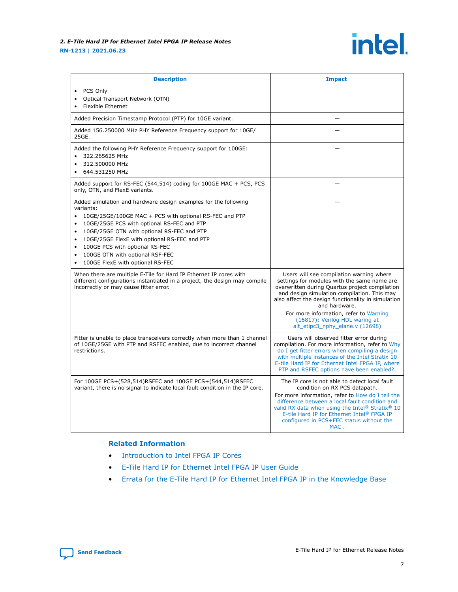#### *2. E-Tile Hard IP for Ethernet Intel FPGA IP Release Notes* **RN-1213 | 2021.06.23**

## *intel.*

| <b>Description</b>                                                                                                                                                                                                                                                                                                                                                                                                                              | <b>Impact</b>                                                                                                                                                                                                                                                                                                                                                                  |
|-------------------------------------------------------------------------------------------------------------------------------------------------------------------------------------------------------------------------------------------------------------------------------------------------------------------------------------------------------------------------------------------------------------------------------------------------|--------------------------------------------------------------------------------------------------------------------------------------------------------------------------------------------------------------------------------------------------------------------------------------------------------------------------------------------------------------------------------|
| PCS Only<br>Optical Transport Network (OTN)<br>$\bullet$<br><b>Flexible Ethernet</b>                                                                                                                                                                                                                                                                                                                                                            |                                                                                                                                                                                                                                                                                                                                                                                |
| Added Precision Timestamp Protocol (PTP) for 10GE variant.                                                                                                                                                                                                                                                                                                                                                                                      |                                                                                                                                                                                                                                                                                                                                                                                |
| Added 156.250000 MHz PHY Reference Frequency support for 10GE/<br>25GE.                                                                                                                                                                                                                                                                                                                                                                         |                                                                                                                                                                                                                                                                                                                                                                                |
| Added the following PHY Reference Frequency support for 100GE:<br>322.265625 MHz<br>312.500000 MHz<br>644.531250 MHz                                                                                                                                                                                                                                                                                                                            |                                                                                                                                                                                                                                                                                                                                                                                |
| Added support for RS-FEC (544,514) coding for 100GE MAC + PCS, PCS<br>only, OTN, and FlexE variants.                                                                                                                                                                                                                                                                                                                                            |                                                                                                                                                                                                                                                                                                                                                                                |
| Added simulation and hardware design examples for the following<br>variants:<br>10GE/25GE/100GE MAC + PCS with optional RS-FEC and PTP<br>$\bullet$<br>10GE/25GE PCS with optional RS-FEC and PTP<br>$\bullet$<br>10GE/25GE OTN with optional RS-FEC and PTP<br>10GE/25GE FlexE with optional RS-FEC and PTP<br>$\bullet$<br>100GE PCS with optional RS-FEC<br>100GE OTN with optional RSF-FEC<br>$\bullet$<br>100GE FlexE with optional RS-FEC |                                                                                                                                                                                                                                                                                                                                                                                |
| When there are multiple E-Tile for Hard IP Ethernet IP cores with<br>different configurations instantiated in a project, the design may compile<br>incorrectly or may cause fitter error.                                                                                                                                                                                                                                                       | Users will see compilation warning where<br>settings for modules with the same name are<br>overwritten during Quartus project compilation<br>and design simulation compilation. This may<br>also affect the design functionality in simulation<br>and hardware.<br>For more information, refer to Warning<br>(16817): Verilog HDL waring at<br>alt etipc3_nphy_elane.v (12698) |
| Fitter is unable to place transceivers correctly when more than 1 channel<br>of 10GE/25GE with PTP and RSFEC enabled, due to incorrect channel<br>restrictions.                                                                                                                                                                                                                                                                                 | Users will observed fitter error during<br>compilation. For more information, refer to Why<br>do I get fitter errors when compiling a design<br>with multiple instances of the Intel Stratix 10<br>E-tile Hard IP for Ethernet Intel FPGA IP, where<br>PTP and RSFEC options have been enabled?                                                                                |
| For 100GE PCS+(528,514)RSFEC and 100GE PCS+(544,514)RSFEC<br>variant, there is no signal to indicate local fault condition in the IP core.                                                                                                                                                                                                                                                                                                      | The IP core is not able to detect local fault<br>condition on RX PCS datapath.<br>For more information, refer to How do I tell the<br>difference between a local fault condition and<br>valid RX data when using the Intel <sup>®</sup> Stratix <sup>®</sup> 10<br>E-tile Hard IP for Ethernet Intel® FPGA IP<br>configured in PCS+FEC status without the<br>MAC.              |

### **Related Information**

- [Introduction to Intel FPGA IP Cores](https://www.intel.com/content/www/us/en/programmable/documentation/mwh1409960636914.html#mwh1409958250601)
- [E-Tile Hard IP for Ethernet Intel FPGA IP User Guide](https://www.intel.com/content/www/us/en/programmable/documentation/oqk1518683296847.html#jet1518686529449)
- [Errata for the E-Tile Hard IP for Ethernet Intel FPGA IP in the Knowledge Base](http://www.altera.com/support/kdb/kdb-browse.jsp?keyword=s10_etile_hip_eth)

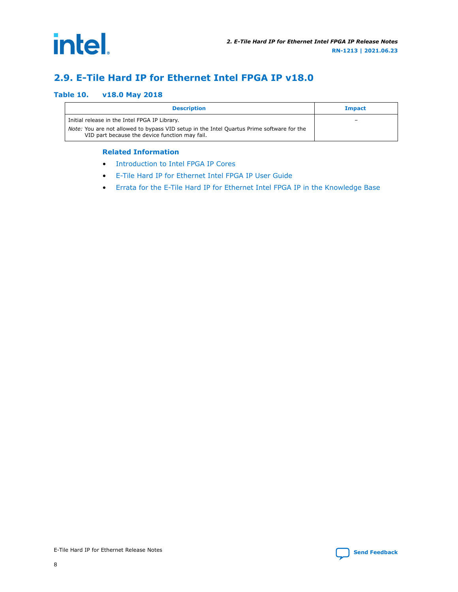<span id="page-7-0"></span>

## **2.9. E-Tile Hard IP for Ethernet Intel FPGA IP v18.0**

#### **Table 10. v18.0 May 2018**

| <b>Description</b>                                                                                                                                                                           | <b>Impact</b> |
|----------------------------------------------------------------------------------------------------------------------------------------------------------------------------------------------|---------------|
| Initial release in the Intel FPGA IP Library.<br>Note: You are not allowed to bypass VID setup in the Intel Quartus Prime software for the<br>VID part because the device function may fail. | -             |

#### **Related Information**

- [Introduction to Intel FPGA IP Cores](https://www.intel.com/content/www/us/en/programmable/documentation/mwh1409960636914.html#mwh1409958250601)
- [E-Tile Hard IP for Ethernet Intel FPGA IP User Guide](https://www.intel.com/content/www/us/en/programmable/documentation/oqk1518683296847.html#jet1518686529449)
- [Errata for the E-Tile Hard IP for Ethernet Intel FPGA IP in the Knowledge Base](http://www.altera.com/support/kdb/kdb-browse.jsp?keyword=s10_etile_hip_eth)

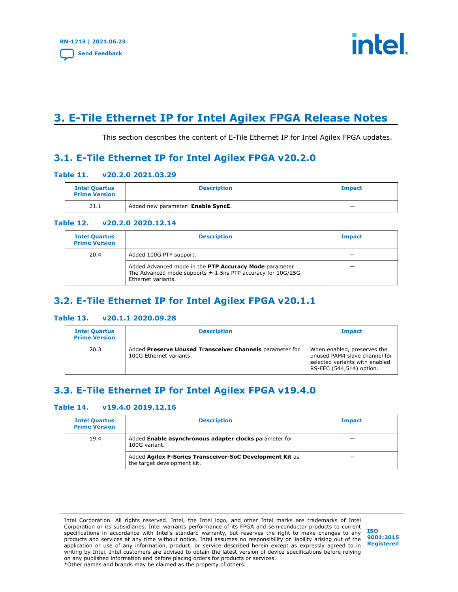

## <span id="page-8-0"></span>**3. E-Tile Ethernet IP for Intel Agilex FPGA Release Notes**

This section describes the content of E-Tile Ethernet IP for Intel Agilex FPGA updates.

## **3.1. E-Tile Ethernet IP for Intel Agilex FPGA v20.2.0**

#### **Table 11. v20.2.0 2021.03.29**

| <b>Intel Quartus</b><br><b>Prime Version</b> | <b>Description</b>                 | <b>Impact</b>            |
|----------------------------------------------|------------------------------------|--------------------------|
| 21.1                                         | Added new parameter: Enable SyncE. | $\overline{\phantom{a}}$ |

#### **Table 12. v20.2.0 2020.12.14**

| <b>Intel Quartus</b><br><b>Prime Version</b> | <b>Description</b>                                                                                                                               | <b>Impact</b> |
|----------------------------------------------|--------------------------------------------------------------------------------------------------------------------------------------------------|---------------|
| 20.4                                         | Added 100G PTP support.                                                                                                                          |               |
|                                              | Added Advanced mode in the PTP Accuracy Mode parameter.<br>The Advanced mode supports $\pm$ 1.5ns PTP accuracy for 10G/25G<br>Ethernet variants. |               |

## **3.2. E-Tile Ethernet IP for Intel Agilex FPGA v20.1.1**

#### **Table 13. v20.1.1 2020.09.28**

| <b>Intel Quartus</b><br><b>Prime Version</b> | <b>Description</b>                                                                  | <b>Impact</b>                                                                                                              |
|----------------------------------------------|-------------------------------------------------------------------------------------|----------------------------------------------------------------------------------------------------------------------------|
| 20.3                                         | Added Preserve Unused Transceiver Channels parameter for<br>100G Ethernet variants. | When enabled, preserves the<br>unused PAM4 slave channel for<br>selected variants with enabled<br>RS-FEC (544,514) option. |

## **3.3. E-Tile Ethernet IP for Intel Agilex FPGA v19.4.0**

### **Table 14. v19.4.0 2019.12.16**

| <b>Intel Quartus</b><br><b>Prime Version</b> | <b>Description</b>                                                                      | <b>Impact</b> |
|----------------------------------------------|-----------------------------------------------------------------------------------------|---------------|
| 19.4                                         | Added Enable asynchronous adapter clocks parameter for<br>100G variant.                 |               |
|                                              | Added Agilex F-Series Transceiver-SoC Development Kit as<br>the target development kit. |               |

Intel Corporation. All rights reserved. Intel, the Intel logo, and other Intel marks are trademarks of Intel Corporation or its subsidiaries. Intel warrants performance of its FPGA and semiconductor products to current specifications in accordance with Intel's standard warranty, but reserves the right to make changes to any products and services at any time without notice. Intel assumes no responsibility or liability arising out of the application or use of any information, product, or service described herein except as expressly agreed to in writing by Intel. Intel customers are advised to obtain the latest version of device specifications before relying on any published information and before placing orders for products or services. \*Other names and brands may be claimed as the property of others.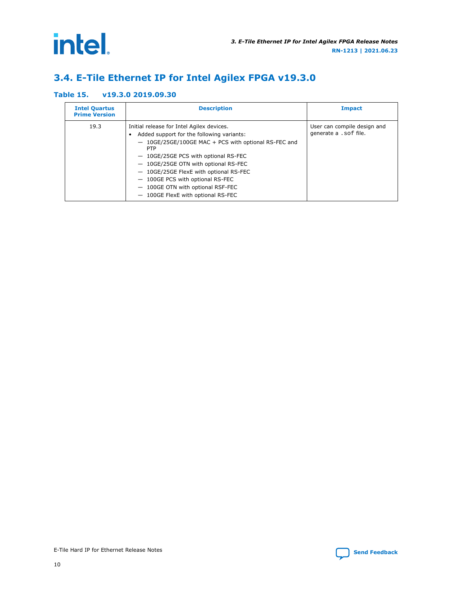<span id="page-9-0"></span>intel.

## **3.4. E-Tile Ethernet IP for Intel Agilex FPGA v19.3.0**

### **Table 15. v19.3.0 2019.09.30**

| <b>Intel Quartus</b><br><b>Prime Version</b> | <b>Description</b>                                                                                                                                                                                                                                                                                                                                                                                    | <b>Impact</b>                                         |
|----------------------------------------------|-------------------------------------------------------------------------------------------------------------------------------------------------------------------------------------------------------------------------------------------------------------------------------------------------------------------------------------------------------------------------------------------------------|-------------------------------------------------------|
| 19.3                                         | Initial release for Intel Agilex devices.<br>Added support for the following variants:<br>- 10GE/25GE/100GE MAC + PCS with optional RS-FEC and<br><b>PTP</b><br>- 10GE/25GE PCS with optional RS-FEC<br>- 10GE/25GE OTN with optional RS-FEC<br>- 10GE/25GE FlexE with optional RS-FEC<br>- 100GE PCS with optional RS-FEC<br>- 100GE OTN with optional RSF-FEC<br>- 100GE FlexE with optional RS-FEC | User can compile design and<br>generate a . sof file. |